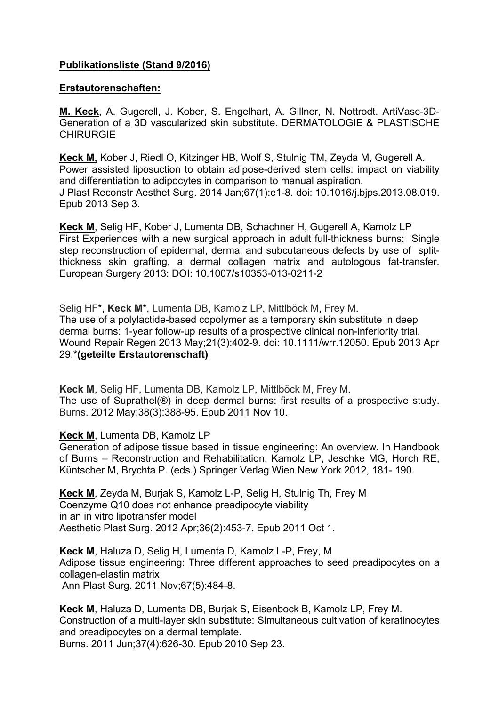## **Publikationsliste (Stand 9/2016)**

## **Erstautorenschaften:**

**M. Keck**, A. Gugerell, J. Kober, S. Engelhart, A. Gillner, N. Nottrodt. ArtiVasc-3D-Generation of a 3D vascularized skin substitute. DERMATOLOGIE & PLASTISCHE CHIRURGIE

**Keck M,** Kober J, Riedl O, Kitzinger HB, Wolf S, Stulnig TM, Zeyda M, Gugerell A. Power assisted liposuction to obtain adipose-derived stem cells: impact on viability and differentiation to adipocytes in comparison to manual aspiration. J Plast Reconstr Aesthet Surg. 2014 Jan;67(1):e1-8. doi: 10.1016/j.bjps.2013.08.019. Epub 2013 Sep 3.

**Keck M**, Selig HF, Kober J, Lumenta DB, Schachner H, Gugerell A, Kamolz LP First Experiences with a new surgical approach in adult full-thickness burns: Single step reconstruction of epidermal, dermal and subcutaneous defects by use of splitthickness skin grafting, a dermal collagen matrix and autologous fat-transfer. European Surgery 2013: DOI: 10.1007/s10353-013-0211-2

Selig HF\*, **Keck M**\*, Lumenta DB, Kamolz LP, Mittlböck M, Frey M. The use of a polylactide-based copolymer as a temporary skin substitute in deep dermal burns: 1-year follow-up results of a prospective clinical non-inferiority trial. Wound Repair Regen 2013 May;21(3):402-9. doi: 10.1111/wrr.12050. Epub 2013 Apr 29.**\*(geteilte Erstautorenschaft)**

**Keck M**, Selig HF, Lumenta DB, Kamolz LP, Mittlböck M, Frey M. The use of Suprathel(®) in deep dermal burns: first results of a prospective study. Burns. 2012 May;38(3):388-95. Epub 2011 Nov 10.

**Keck M**, Lumenta DB, Kamolz LP

Generation of adipose tissue based in tissue engineering: An overview. In Handbook of Burns – Reconstruction and Rehabilitation. Kamolz LP, Jeschke MG, Horch RE, Küntscher M, Brychta P. (eds.) Springer Verlag Wien New York 2012, 181- 190.

**Keck M**, Zeyda M, Burjak S, Kamolz L-P, Selig H, Stulnig Th, Frey M Coenzyme Q10 does not enhance preadipocyte viability in an in vitro lipotransfer model Aesthetic Plast Surg. 2012 Apr;36(2):453-7. Epub 2011 Oct 1.

**Keck M**, Haluza D, Selig H, Lumenta D, Kamolz L-P, Frey, M Adipose tissue engineering: Three different approaches to seed preadipocytes on a collagen-elastin matrix Ann Plast Surg. 2011 Nov;67(5):484-8.

**Keck M**, Haluza D, Lumenta DB, Burjak S, Eisenbock B, Kamolz LP, Frey M. Construction of a multi-layer skin substitute: Simultaneous cultivation of keratinocytes and preadipocytes on a dermal template. Burns. 2011 Jun;37(4):626-30. Epub 2010 Sep 23.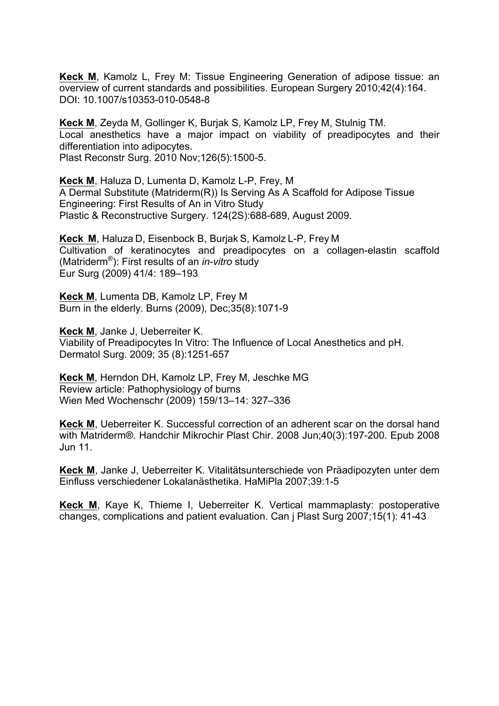**Keck M**, Kamolz L, Frey M: Tissue Engineering Generation of adipose tissue: an overview of current standards and possibilities. European Surgery 2010;42(4):164. DOI: 10.1007/s10353-010-0548-8

**Keck M**, Zeyda M, Gollinger K, Burjak S, Kamolz LP, Frey M, Stulnig TM. Local anesthetics have a major impact on viability of preadipocytes and their differentiation into adipocytes. Plast Reconstr Surg. 2010 Nov;126(5):1500-5.

**Keck M**, Haluza D, Lumenta D, Kamolz L-P, Frey, M A Dermal Substitute (Matriderm(R)) Is Serving As A Scaffold for Adipose Tissue Engineering: First Results of An in Vitro Study Plastic & Reconstructive Surgery. 124(2S):688-689, August 2009.

**Keck M**, Haluza D, Eisenbock B, Burjak S, Kamolz L-P, Frey M Cultivation of keratinocytes and preadipocytes on a collagen-elastin scaffold (Matriderm®): First results of an *in-vitro* study Eur Surg (2009) 41/4: 189–193

**Keck M**, Lumenta DB, Kamolz LP, Frey M Burn in the elderly. Burns (2009), Dec;35(8):1071-9

**Keck M**, Janke J, Ueberreiter K. Viability of Preadipocytes In Vitro: The Influence of Local Anesthetics and pH. Dermatol Surg. 2009; 35 (8):1251-657

**Keck M**, Herndon DH, Kamolz LP, Frey M, Jeschke MG Review article: Pathophysiology of burns Wien Med Wochenschr (2009) 159/13–14: 327–336

**Keck M**, Ueberreiter K. Successful correction of an adherent scar on the dorsal hand with Matriderm®. Handchir Mikrochir Plast Chir. 2008 Jun;40(3):197-200. Epub 2008 Jun 11.

**Keck M**, Janke J, Ueberreiter K. Vitalitätsunterschiede von Präadipozyten unter dem Einfluss verschiedener Lokalanästhetika. HaMiPla 2007;39:1-5

**Keck M**, Kaye K, Thieme I, Ueberreiter K. Vertical mammaplasty: postoperative changes, complications and patient evaluation. Can j Plast Surg 2007;15(1): 41-43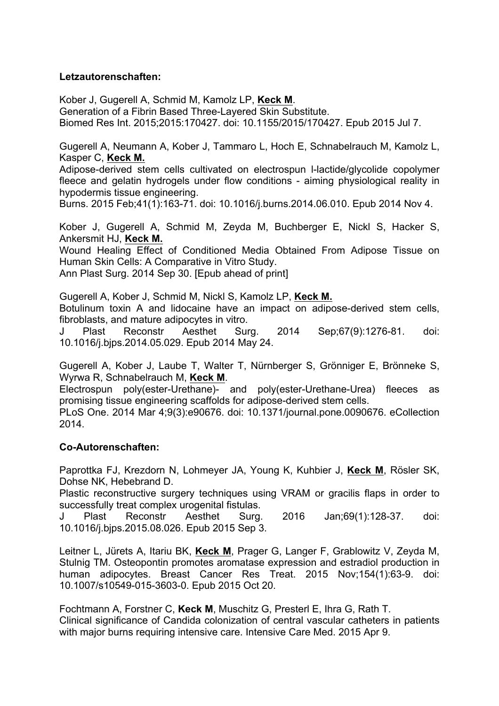## **Letzautorenschaften:**

Kober J, Gugerell A, Schmid M, Kamolz LP, **Keck M**. Generation of a Fibrin Based Three-Layered Skin Substitute. Biomed Res Int. 2015;2015:170427. doi: 10.1155/2015/170427. Epub 2015 Jul 7.

Gugerell A, Neumann A, Kober J, Tammaro L, Hoch E, Schnabelrauch M, Kamolz L, Kasper C, **Keck M.**

Adipose-derived stem cells cultivated on electrospun l-lactide/glycolide copolymer fleece and gelatin hydrogels under flow conditions - aiming physiological reality in hypodermis tissue engineering.

Burns. 2015 Feb;41(1):163-71. doi: 10.1016/j.burns.2014.06.010. Epub 2014 Nov 4.

Kober J, Gugerell A, Schmid M, Zeyda M, Buchberger E, Nickl S, Hacker S, Ankersmit HJ, **Keck M.**

Wound Healing Effect of Conditioned Media Obtained From Adipose Tissue on Human Skin Cells: A Comparative in Vitro Study.

Ann Plast Surg. 2014 Sep 30. [Epub ahead of print]

Gugerell A, Kober J, Schmid M, Nickl S, Kamolz LP, **Keck M.**

Botulinum toxin A and lidocaine have an impact on adipose-derived stem cells, fibroblasts, and mature adipocytes in vitro.

J Plast Reconstr Aesthet Surg. 2014 Sep;67(9):1276-81. doi: 10.1016/j.bjps.2014.05.029. Epub 2014 May 24.

Gugerell A, Kober J, Laube T, Walter T, Nürnberger S, Grönniger E, Brönneke S, Wyrwa R, Schnabelrauch M, **Keck M**.

Electrospun poly(ester-Urethane)- and poly(ester-Urethane-Urea) fleeces as promising tissue engineering scaffolds for adipose-derived stem cells.

PLoS One. 2014 Mar 4;9(3):e90676. doi: 10.1371/journal.pone.0090676. eCollection 2014.

## **Co-Autorenschaften:**

Paprottka FJ, Krezdorn N, Lohmeyer JA, Young K, Kuhbier J, **Keck M**, Rösler SK, Dohse NK, Hebebrand D.

Plastic reconstructive surgery techniques using VRAM or gracilis flaps in order to successfully treat complex urogenital fistulas.

J Plast Reconstr Aesthet Surg. 2016 Jan;69(1):128-37. doi: 10.1016/j.bjps.2015.08.026. Epub 2015 Sep 3.

Leitner L, Jürets A, Itariu BK, **Keck M**, Prager G, Langer F, Grablowitz V, Zeyda M, Stulnig TM. Osteopontin promotes aromatase expression and estradiol production in human adipocytes. Breast Cancer Res Treat. 2015 Nov;154(1):63-9. doi: 10.1007/s10549-015-3603-0. Epub 2015 Oct 20.

Fochtmann A, Forstner C, **Keck M**, Muschitz G, Presterl E, Ihra G, Rath T. Clinical significance of Candida colonization of central vascular catheters in patients with major burns requiring intensive care. Intensive Care Med. 2015 Apr 9.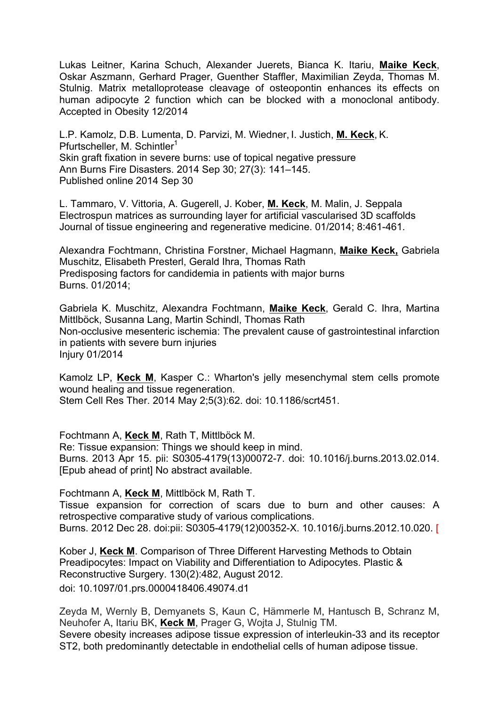Lukas Leitner, Karina Schuch, Alexander Juerets, Bianca K. Itariu, **Maike Keck**, Oskar Aszmann, Gerhard Prager, Guenther Staffler, Maximilian Zeyda, Thomas M. Stulnig. Matrix metalloprotease cleavage of osteopontin enhances its effects on human adipocyte 2 function which can be blocked with a monoclonal antibody. Accepted in Obesity 12/2014

L.P. Kamolz, D.B. Lumenta, D. Parvizi, M. Wiedner, I. Justich, **M. Keck**, K. Pfurtscheller, M. Schintler<sup>1</sup> Skin graft fixation in severe burns: use of topical negative pressure Ann Burns Fire Disasters. 2014 Sep 30; 27(3): 141–145. Published online 2014 Sep 30

L. Tammaro, V. Vittoria, A. Gugerell, J. Kober, **M. Keck**, M. Malin, J. Seppala Electrospun matrices as surrounding layer for artificial vascularised 3D scaffolds Journal of tissue engineering and regenerative medicine. 01/2014; 8:461-461.

Alexandra Fochtmann, Christina Forstner, Michael Hagmann, **Maike Keck,** Gabriela Muschitz, Elisabeth Presterl, Gerald Ihra, Thomas Rath Predisposing factors for candidemia in patients with major burns Burns. 01/2014;

Gabriela K. Muschitz, Alexandra Fochtmann, **Maike Keck**, Gerald C. Ihra, Martina Mittlböck, Susanna Lang, Martin Schindl, Thomas Rath Non-occlusive mesenteric ischemia: The prevalent cause of gastrointestinal infarction in patients with severe burn injuries Injury 01/2014

Kamolz LP, **Keck M**, Kasper C.: Wharton's jelly mesenchymal stem cells promote wound healing and tissue regeneration. Stem Cell Res Ther. 2014 May 2;5(3):62. doi: 10.1186/scrt451.

Fochtmann A, **Keck M**, Rath T, Mittlböck M. Re: Tissue expansion: Things we should keep in mind. Burns. 2013 Apr 15. pii: S0305-4179(13)00072-7. doi: 10.1016/j.burns.2013.02.014. [Epub ahead of print] No abstract available.

Fochtmann A, **Keck M**, Mittlböck M, Rath T.

Tissue expansion for correction of scars due to burn and other causes: A retrospective comparative study of various complications. Burns. 2012 Dec 28. doi:pii: S0305-4179(12)00352-X. 10.1016/j.burns.2012.10.020. [

Kober J, **Keck M**. Comparison of Three Different Harvesting Methods to Obtain Preadipocytes: Impact on Viability and Differentiation to Adipocytes. Plastic & Reconstructive Surgery. 130(2):482, August 2012. doi: 10.1097/01.prs.0000418406.49074.d1

Zeyda M, Wernly B, Demyanets S, Kaun C, Hämmerle M, Hantusch B, Schranz M, Neuhofer A, Itariu BK, **Keck M**, Prager G, Wojta J, Stulnig TM. Severe obesity increases adipose tissue expression of interleukin-33 and its receptor ST2, both predominantly detectable in endothelial cells of human adipose tissue.